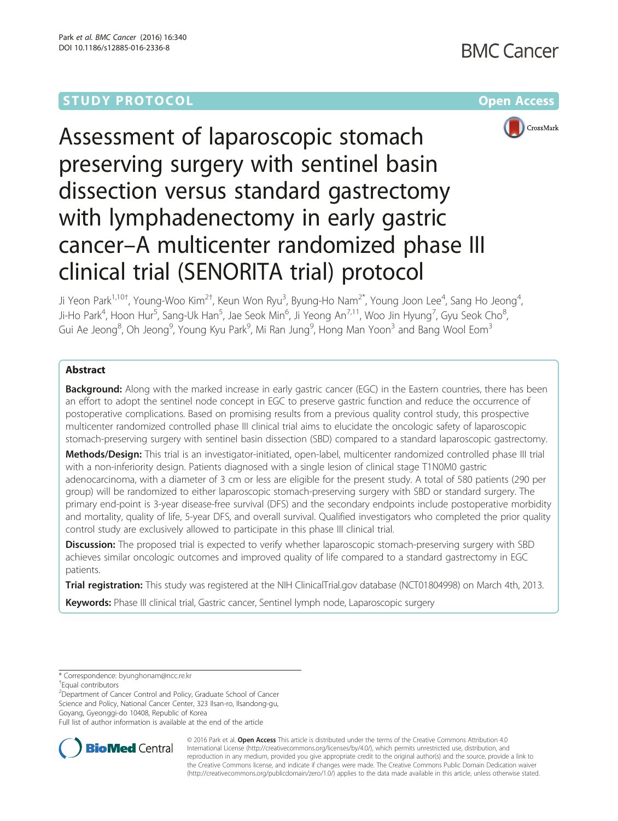# **STUDY PROTOCOL CONSUMING THE RESERVE ACCESS**



Assessment of laparoscopic stomach preserving surgery with sentinel basin dissection versus standard gastrectomy with lymphadenectomy in early gastric cancer–A multicenter randomized phase III clinical trial (SENORITA trial) protocol

Ji Yeon Park<sup>1,10†</sup>, Young-Woo Kim<sup>2†</sup>, Keun Won Ryu<sup>3</sup>, Byung-Ho Nam<sup>2\*</sup>, Young Joon Lee<sup>4</sup>, Sang Ho Jeong<sup>4</sup> , Ji-Ho Park<sup>4</sup>, Hoon Hur<sup>5</sup>, Sang-Uk Han<sup>5</sup>, Jae Seok Min<sup>6</sup>, Ji Yeong An<sup>7,11</sup>, Woo Jin Hyung<sup>7</sup>, Gyu Seok Cho<sup>8</sup> , Gui Ae Jeong<sup>8</sup>, Oh Jeong<sup>9</sup>, Young Kyu Park<sup>9</sup>, Mi Ran Jung<sup>9</sup>, Hong Man Yoon<sup>3</sup> and Bang Wool Eom<sup>3</sup>

# Abstract

Background: Along with the marked increase in early gastric cancer (EGC) in the Eastern countries, there has been an effort to adopt the sentinel node concept in EGC to preserve gastric function and reduce the occurrence of postoperative complications. Based on promising results from a previous quality control study, this prospective multicenter randomized controlled phase III clinical trial aims to elucidate the oncologic safety of laparoscopic stomach-preserving surgery with sentinel basin dissection (SBD) compared to a standard laparoscopic gastrectomy.

Methods/Design: This trial is an investigator-initiated, open-label, multicenter randomized controlled phase III trial with a non-inferiority design. Patients diagnosed with a single lesion of clinical stage T1N0M0 gastric adenocarcinoma, with a diameter of 3 cm or less are eligible for the present study. A total of 580 patients (290 per group) will be randomized to either laparoscopic stomach-preserving surgery with SBD or standard surgery. The primary end-point is 3-year disease-free survival (DFS) and the secondary endpoints include postoperative morbidity and mortality, quality of life, 5-year DFS, and overall survival. Qualified investigators who completed the prior quality control study are exclusively allowed to participate in this phase III clinical trial.

**Discussion:** The proposed trial is expected to verify whether laparoscopic stomach-preserving surgery with SBD achieves similar oncologic outcomes and improved quality of life compared to a standard gastrectomy in EGC patients.

Trial registration: This study was registered at the NIH ClinicalTrial.gov database [\(NCT01804998](https://clinicaltrials.gov/show/NCT01804998)) on March 4th, 2013.

Keywords: Phase III clinical trial, Gastric cancer, Sentinel lymph node, Laparoscopic surgery

<sup>2</sup> Department of Cancer Control and Policy, Graduate School of Cancer Science and Policy, National Cancer Center, 323 Ilsan-ro, Ilsandong-gu, Goyang, Gyeonggi-do 10408, Republic of Korea

Full list of author information is available at the end of the article



© 2016 Park et al. Open Access This article is distributed under the terms of the Creative Commons Attribution 4.0 International License [\(http://creativecommons.org/licenses/by/4.0/](http://creativecommons.org/licenses/by/4.0/)), which permits unrestricted use, distribution, and reproduction in any medium, provided you give appropriate credit to the original author(s) and the source, provide a link to the Creative Commons license, and indicate if changes were made. The Creative Commons Public Domain Dedication waiver [\(http://creativecommons.org/publicdomain/zero/1.0/](http://creativecommons.org/publicdomain/zero/1.0/)) applies to the data made available in this article, unless otherwise stated.

<sup>\*</sup> Correspondence: [byunghonam@ncc.re.kr](mailto:byunghonam@ncc.re.kr) †

Equal contributors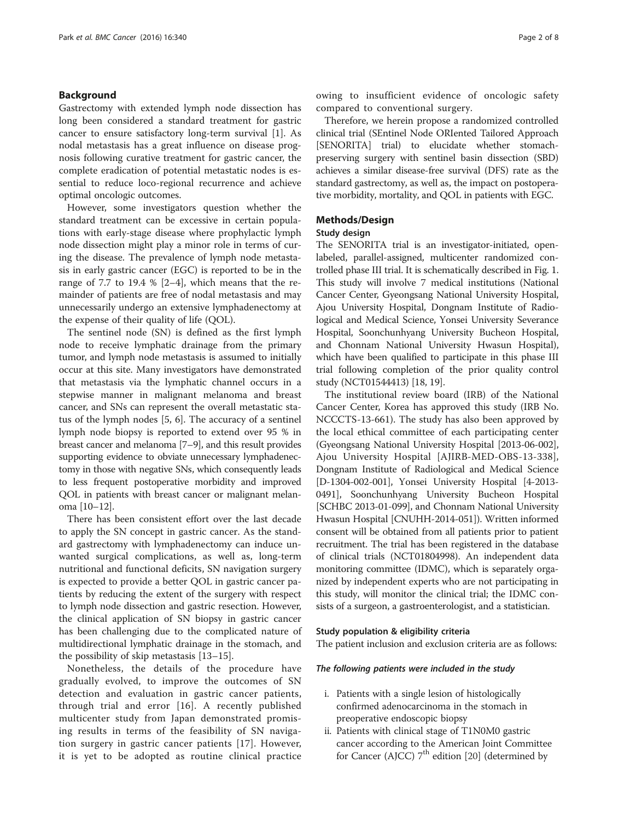## Background

Gastrectomy with extended lymph node dissection has long been considered a standard treatment for gastric cancer to ensure satisfactory long-term survival [\[1](#page-6-0)]. As nodal metastasis has a great influence on disease prognosis following curative treatment for gastric cancer, the complete eradication of potential metastatic nodes is essential to reduce loco-regional recurrence and achieve optimal oncologic outcomes.

However, some investigators question whether the standard treatment can be excessive in certain populations with early-stage disease where prophylactic lymph node dissection might play a minor role in terms of curing the disease. The prevalence of lymph node metastasis in early gastric cancer (EGC) is reported to be in the range of 7.7 to 19.4 % [\[2](#page-6-0)–[4](#page-6-0)], which means that the remainder of patients are free of nodal metastasis and may unnecessarily undergo an extensive lymphadenectomy at the expense of their quality of life (QOL).

The sentinel node (SN) is defined as the first lymph node to receive lymphatic drainage from the primary tumor, and lymph node metastasis is assumed to initially occur at this site. Many investigators have demonstrated that metastasis via the lymphatic channel occurs in a stepwise manner in malignant melanoma and breast cancer, and SNs can represent the overall metastatic status of the lymph nodes [\[5](#page-6-0), [6\]](#page-6-0). The accuracy of a sentinel lymph node biopsy is reported to extend over 95 % in breast cancer and melanoma [[7](#page-6-0)–[9\]](#page-6-0), and this result provides supporting evidence to obviate unnecessary lymphadenectomy in those with negative SNs, which consequently leads to less frequent postoperative morbidity and improved QOL in patients with breast cancer or malignant melanoma [[10](#page-6-0)–[12\]](#page-7-0).

There has been consistent effort over the last decade to apply the SN concept in gastric cancer. As the standard gastrectomy with lymphadenectomy can induce unwanted surgical complications, as well as, long-term nutritional and functional deficits, SN navigation surgery is expected to provide a better QOL in gastric cancer patients by reducing the extent of the surgery with respect to lymph node dissection and gastric resection. However, the clinical application of SN biopsy in gastric cancer has been challenging due to the complicated nature of multidirectional lymphatic drainage in the stomach, and the possibility of skip metastasis [[13](#page-7-0)–[15](#page-7-0)].

Nonetheless, the details of the procedure have gradually evolved, to improve the outcomes of SN detection and evaluation in gastric cancer patients, through trial and error [[16\]](#page-7-0). A recently published multicenter study from Japan demonstrated promising results in terms of the feasibility of SN navigation surgery in gastric cancer patients [[17](#page-7-0)]. However, it is yet to be adopted as routine clinical practice owing to insufficient evidence of oncologic safety compared to conventional surgery.

Therefore, we herein propose a randomized controlled clinical trial (SEntinel Node ORIented Tailored Approach [SENORITA] trial) to elucidate whether stomachpreserving surgery with sentinel basin dissection (SBD) achieves a similar disease-free survival (DFS) rate as the standard gastrectomy, as well as, the impact on postoperative morbidity, mortality, and QOL in patients with EGC.

# Methods/Design

## Study design

The SENORITA trial is an investigator-initiated, openlabeled, parallel-assigned, multicenter randomized controlled phase III trial. It is schematically described in Fig. [1](#page-2-0). This study will involve 7 medical institutions (National Cancer Center, Gyeongsang National University Hospital, Ajou University Hospital, Dongnam Institute of Radiological and Medical Science, Yonsei University Severance Hospital, Soonchunhyang University Bucheon Hospital, and Chonnam National University Hwasun Hospital), which have been qualified to participate in this phase III trial following completion of the prior quality control study (NCT01544413) [\[18, 19\]](#page-7-0).

The institutional review board (IRB) of the National Cancer Center, Korea has approved this study (IRB No. NCCCTS-13-661). The study has also been approved by the local ethical committee of each participating center (Gyeongsang National University Hospital [2013-06-002], Ajou University Hospital [AJIRB-MED-OBS-13-338], Dongnam Institute of Radiological and Medical Science [D-1304-002-001], Yonsei University Hospital [4-2013- 0491], Soonchunhyang University Bucheon Hospital [SCHBC 2013-01-099], and Chonnam National University Hwasun Hospital [CNUHH-2014-051]). Written informed consent will be obtained from all patients prior to patient recruitment. The trial has been registered in the database of clinical trials (NCT01804998). An independent data monitoring committee (IDMC), which is separately organized by independent experts who are not participating in this study, will monitor the clinical trial; the IDMC consists of a surgeon, a gastroenterologist, and a statistician.

## Study population & eligibility criteria

The patient inclusion and exclusion criteria are as follows:

#### The following patients were included in the study

- i. Patients with a single lesion of histologically confirmed adenocarcinoma in the stomach in preoperative endoscopic biopsy
- ii. Patients with clinical stage of T1N0M0 gastric cancer according to the American Joint Committee for Cancer (AJCC)  $7<sup>th</sup>$  edition [[20\]](#page-7-0) (determined by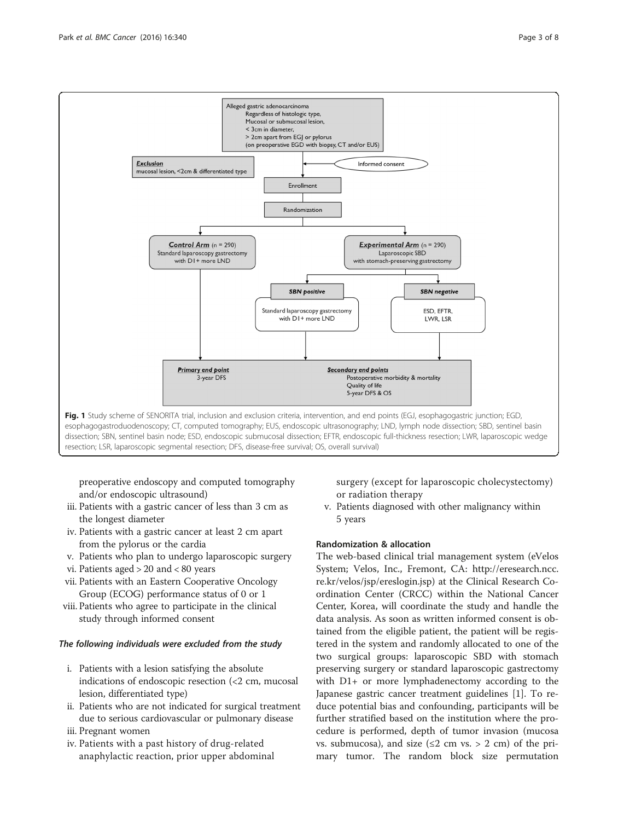<span id="page-2-0"></span>

resection; LSR, laparoscopic segmental resection; DFS, disease-free survival; OS, overall survival)

preoperative endoscopy and computed tomography and/or endoscopic ultrasound)

- iii. Patients with a gastric cancer of less than 3 cm as the longest diameter
- iv. Patients with a gastric cancer at least 2 cm apart from the pylorus or the cardia
- v. Patients who plan to undergo laparoscopic surgery
- vi. Patients aged > 20 and < 80 years
- vii. Patients with an Eastern Cooperative Oncology Group (ECOG) performance status of 0 or 1
- viii. Patients who agree to participate in the clinical study through informed consent

# The following individuals were excluded from the study

- i. Patients with a lesion satisfying the absolute indications of endoscopic resection (<2 cm, mucosal lesion, differentiated type)
- ii. Patients who are not indicated for surgical treatment due to serious cardiovascular or pulmonary disease
- iii. Pregnant women
- iv. Patients with a past history of drug-related anaphylactic reaction, prior upper abdominal

surgery (except for laparoscopic cholecystectomy) or radiation therapy

v. Patients diagnosed with other malignancy within 5 years

# Randomization & allocation

The web-based clinical trial management system (eVelos System; Velos, Inc., Fremont, CA: [http://eresearch.ncc.](http://eresearch.ncc.re.kr/velos/jsp/ereslogin.jsp) [re.kr/velos/jsp/ereslogin.jsp](http://eresearch.ncc.re.kr/velos/jsp/ereslogin.jsp)) at the Clinical Research Coordination Center (CRCC) within the National Cancer Center, Korea, will coordinate the study and handle the data analysis. As soon as written informed consent is obtained from the eligible patient, the patient will be registered in the system and randomly allocated to one of the two surgical groups: laparoscopic SBD with stomach preserving surgery or standard laparoscopic gastrectomy with D1+ or more lymphadenectomy according to the Japanese gastric cancer treatment guidelines [\[1\]](#page-6-0). To reduce potential bias and confounding, participants will be further stratified based on the institution where the procedure is performed, depth of tumor invasion (mucosa vs. submucosa), and size ( $\leq$ 2 cm vs. > 2 cm) of the primary tumor. The random block size permutation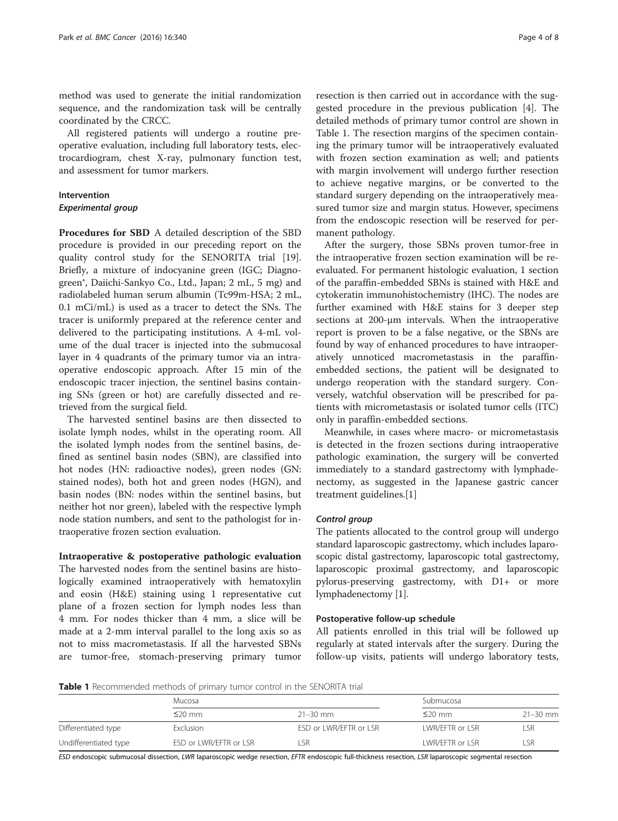method was used to generate the initial randomization sequence, and the randomization task will be centrally coordinated by the CRCC.

All registered patients will undergo a routine preoperative evaluation, including full laboratory tests, electrocardiogram, chest X-ray, pulmonary function test, and assessment for tumor markers.

## Intervention

## Experimental group

Procedures for SBD A detailed description of the SBD procedure is provided in our preceding report on the quality control study for the SENORITA trial [\[19](#page-7-0)]. Briefly, a mixture of indocyanine green (IGC; Diagnogreen®, Daiichi-Sankyo Co., Ltd., Japan; 2 mL, 5 mg) and radiolabeled human serum albumin (Tc99m-HSA; 2 mL, 0.1 mCi/mL) is used as a tracer to detect the SNs. The tracer is uniformly prepared at the reference center and delivered to the participating institutions. A 4-mL volume of the dual tracer is injected into the submucosal layer in 4 quadrants of the primary tumor via an intraoperative endoscopic approach. After 15 min of the endoscopic tracer injection, the sentinel basins containing SNs (green or hot) are carefully dissected and retrieved from the surgical field.

The harvested sentinel basins are then dissected to isolate lymph nodes, whilst in the operating room. All the isolated lymph nodes from the sentinel basins, defined as sentinel basin nodes (SBN), are classified into hot nodes (HN: radioactive nodes), green nodes (GN: stained nodes), both hot and green nodes (HGN), and basin nodes (BN: nodes within the sentinel basins, but neither hot nor green), labeled with the respective lymph node station numbers, and sent to the pathologist for intraoperative frozen section evaluation.

## Intraoperative & postoperative pathologic evaluation

The harvested nodes from the sentinel basins are histologically examined intraoperatively with hematoxylin and eosin (H&E) staining using 1 representative cut plane of a frozen section for lymph nodes less than 4 mm. For nodes thicker than 4 mm, a slice will be made at a 2-mm interval parallel to the long axis so as not to miss macrometastasis. If all the harvested SBNs are tumor-free, stomach-preserving primary tumor

resection is then carried out in accordance with the suggested procedure in the previous publication [\[4\]](#page-6-0). The detailed methods of primary tumor control are shown in Table 1. The resection margins of the specimen containing the primary tumor will be intraoperatively evaluated with frozen section examination as well; and patients with margin involvement will undergo further resection to achieve negative margins, or be converted to the standard surgery depending on the intraoperatively measured tumor size and margin status. However, specimens from the endoscopic resection will be reserved for permanent pathology.

After the surgery, those SBNs proven tumor-free in the intraoperative frozen section examination will be reevaluated. For permanent histologic evaluation, 1 section of the paraffin-embedded SBNs is stained with H&E and cytokeratin immunohistochemistry (IHC). The nodes are further examined with H&E stains for 3 deeper step sections at 200-μm intervals. When the intraoperative report is proven to be a false negative, or the SBNs are found by way of enhanced procedures to have intraoperatively unnoticed macrometastasis in the paraffinembedded sections, the patient will be designated to undergo reoperation with the standard surgery. Conversely, watchful observation will be prescribed for patients with micrometastasis or isolated tumor cells (ITC) only in paraffin-embedded sections.

Meanwhile, in cases where macro- or micrometastasis is detected in the frozen sections during intraoperative pathologic examination, the surgery will be converted immediately to a standard gastrectomy with lymphadenectomy, as suggested in the Japanese gastric cancer treatment guidelines.[[1\]](#page-6-0)

## Control group

The patients allocated to the control group will undergo standard laparoscopic gastrectomy, which includes laparoscopic distal gastrectomy, laparoscopic total gastrectomy, laparoscopic proximal gastrectomy, and laparoscopic pylorus-preserving gastrectomy, with D1+ or more lymphadenectomy [\[1\]](#page-6-0).

#### Postoperative follow-up schedule

All patients enrolled in this trial will be followed up regularly at stated intervals after the surgery. During the follow-up visits, patients will undergo laboratory tests,

Table 1 Recommended methods of primary tumor control in the SENORITA trial

|                       | Mucosa                 |                        | Submucosa              |              |  |  |
|-----------------------|------------------------|------------------------|------------------------|--------------|--|--|
|                       | $≤20$ mm               | $21 - 30$ mm           | $\leq$ 20 mm           | $21 - 30$ mm |  |  |
| Differentiated type   | <b>Exclusion</b>       | ESD or LWR/EFTR or LSR | LWR/EFTR or LSR        | LSR          |  |  |
| Undifferentiated type | ESD or LWR/EFTR or LSR | -SR                    | <b>LWR/FFTR or LSR</b> | l SR         |  |  |

ESD endoscopic submucosal dissection, LWR laparoscopic wedge resection, EFTR endoscopic full-thickness resection, LSR laparoscopic segmental resection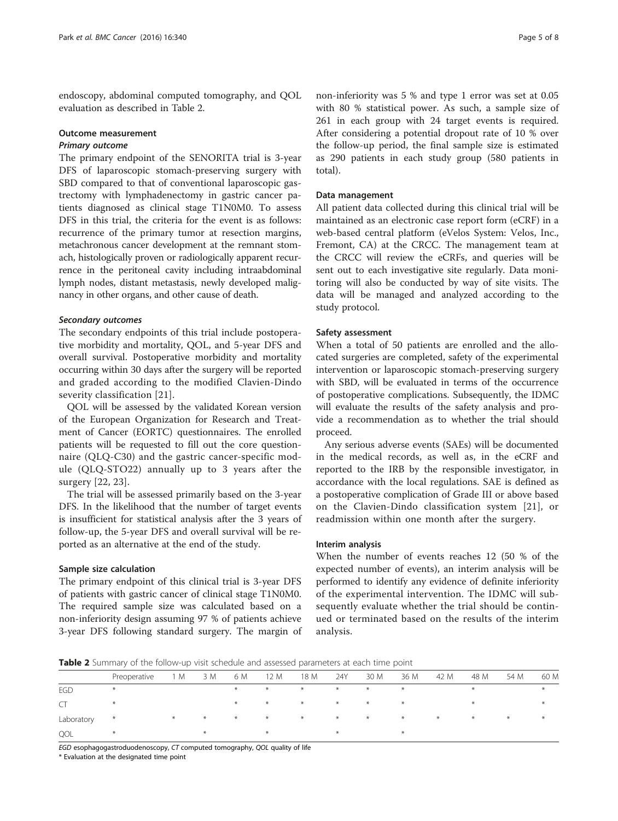endoscopy, abdominal computed tomography, and QOL evaluation as described in Table 2.

#### Outcome measurement

## Primary outcome

The primary endpoint of the SENORITA trial is 3-year DFS of laparoscopic stomach-preserving surgery with SBD compared to that of conventional laparoscopic gastrectomy with lymphadenectomy in gastric cancer patients diagnosed as clinical stage T1N0M0. To assess DFS in this trial, the criteria for the event is as follows: recurrence of the primary tumor at resection margins, metachronous cancer development at the remnant stomach, histologically proven or radiologically apparent recurrence in the peritoneal cavity including intraabdominal lymph nodes, distant metastasis, newly developed malignancy in other organs, and other cause of death.

#### Secondary outcomes

The secondary endpoints of this trial include postoperative morbidity and mortality, QOL, and 5-year DFS and overall survival. Postoperative morbidity and mortality occurring within 30 days after the surgery will be reported and graded according to the modified Clavien-Dindo severity classification [[21\]](#page-7-0).

QOL will be assessed by the validated Korean version of the European Organization for Research and Treatment of Cancer (EORTC) questionnaires. The enrolled patients will be requested to fill out the core questionnaire (QLQ-C30) and the gastric cancer-specific module (QLQ-STO22) annually up to 3 years after the surgery [[22](#page-7-0), [23](#page-7-0)].

The trial will be assessed primarily based on the 3-year DFS. In the likelihood that the number of target events is insufficient for statistical analysis after the 3 years of follow-up, the 5-year DFS and overall survival will be reported as an alternative at the end of the study.

#### Sample size calculation

The primary endpoint of this clinical trial is 3-year DFS of patients with gastric cancer of clinical stage T1N0M0. The required sample size was calculated based on a non-inferiority design assuming 97 % of patients achieve 3-year DFS following standard surgery. The margin of

non-inferiority was 5 % and type 1 error was set at 0.05 with 80 % statistical power. As such, a sample size of 261 in each group with 24 target events is required. After considering a potential dropout rate of 10 % over the follow-up period, the final sample size is estimated as 290 patients in each study group (580 patients in total).

#### Data management

All patient data collected during this clinical trial will be maintained as an electronic case report form (eCRF) in a web-based central platform (eVelos System: Velos, Inc., Fremont, CA) at the CRCC. The management team at the CRCC will review the eCRFs, and queries will be sent out to each investigative site regularly. Data monitoring will also be conducted by way of site visits. The data will be managed and analyzed according to the study protocol.

#### Safety assessment

When a total of 50 patients are enrolled and the allocated surgeries are completed, safety of the experimental intervention or laparoscopic stomach-preserving surgery with SBD, will be evaluated in terms of the occurrence of postoperative complications. Subsequently, the IDMC will evaluate the results of the safety analysis and provide a recommendation as to whether the trial should proceed.

Any serious adverse events (SAEs) will be documented in the medical records, as well as, in the eCRF and reported to the IRB by the responsible investigator, in accordance with the local regulations. SAE is defined as a postoperative complication of Grade III or above based on the Clavien-Dindo classification system [[21\]](#page-7-0), or readmission within one month after the surgery.

#### Interim analysis

When the number of events reaches 12 (50 % of the expected number of events), an interim analysis will be performed to identify any evidence of definite inferiority of the experimental intervention. The IDMC will subsequently evaluate whether the trial should be continued or terminated based on the results of the interim analysis.

Table 2 Summary of the follow-up visit schedule and assessed parameters at each time point

|            | .            |     |     |     |      |        |     |      |      |      |      |      |      |
|------------|--------------|-----|-----|-----|------|--------|-----|------|------|------|------|------|------|
|            | Preoperative | i M | 3 M | 6 M | 12 M | 18 M   | 24Y | 30 M | 36 M | 42 M | 48 M | 54 M | 60 M |
| <b>EGD</b> | $*$          |     |     | $*$ | $*$  | $\ast$ | $*$ | $*$  | $*$  |      |      |      |      |
|            | ⋇            |     |     | $*$ | $*$  | $*$    | $*$ | $*$  | $*$  |      |      |      |      |
| Laboratory | $*$          | $*$ | $*$ | $*$ | $*$  | $*$    | $*$ | $*$  | $*$  | $*$  | $*$  | $*$  |      |
| QOL        | $\ast$       |     |     |     |      |        |     |      |      |      |      |      |      |

EGD esophagogastroduodenoscopy, CT computed tomography, QOL quality of life

\* Evaluation at the designated time point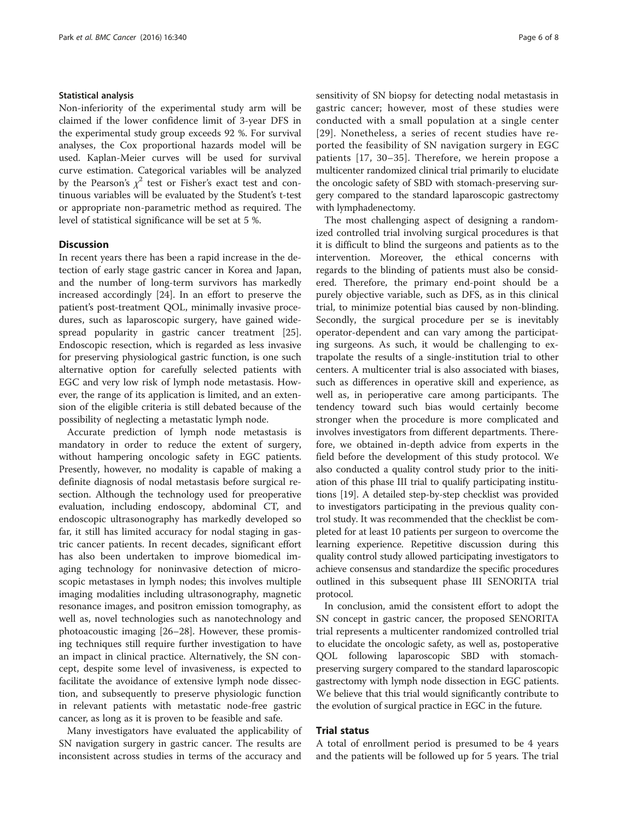#### Statistical analysis

Non-inferiority of the experimental study arm will be claimed if the lower confidence limit of 3-year DFS in the experimental study group exceeds 92 %. For survival analyses, the Cox proportional hazards model will be used. Kaplan-Meier curves will be used for survival curve estimation. Categorical variables will be analyzed by the Pearson's  $\chi^2$  test or Fisher's exact test and continuous variables will be evaluated by the Student's t-test or appropriate non-parametric method as required. The level of statistical significance will be set at 5 %.

#### **Discussion**

In recent years there has been a rapid increase in the detection of early stage gastric cancer in Korea and Japan, and the number of long-term survivors has markedly increased accordingly [[24](#page-7-0)]. In an effort to preserve the patient's post-treatment QOL, minimally invasive procedures, such as laparoscopic surgery, have gained widespread popularity in gastric cancer treatment [\[25](#page-7-0)]. Endoscopic resection, which is regarded as less invasive for preserving physiological gastric function, is one such alternative option for carefully selected patients with EGC and very low risk of lymph node metastasis. However, the range of its application is limited, and an extension of the eligible criteria is still debated because of the possibility of neglecting a metastatic lymph node.

Accurate prediction of lymph node metastasis is mandatory in order to reduce the extent of surgery, without hampering oncologic safety in EGC patients. Presently, however, no modality is capable of making a definite diagnosis of nodal metastasis before surgical resection. Although the technology used for preoperative evaluation, including endoscopy, abdominal CT, and endoscopic ultrasonography has markedly developed so far, it still has limited accuracy for nodal staging in gastric cancer patients. In recent decades, significant effort has also been undertaken to improve biomedical imaging technology for noninvasive detection of microscopic metastases in lymph nodes; this involves multiple imaging modalities including ultrasonography, magnetic resonance images, and positron emission tomography, as well as, novel technologies such as nanotechnology and photoacoustic imaging [[26](#page-7-0)–[28\]](#page-7-0). However, these promising techniques still require further investigation to have an impact in clinical practice. Alternatively, the SN concept, despite some level of invasiveness, is expected to facilitate the avoidance of extensive lymph node dissection, and subsequently to preserve physiologic function in relevant patients with metastatic node-free gastric cancer, as long as it is proven to be feasible and safe.

Many investigators have evaluated the applicability of SN navigation surgery in gastric cancer. The results are inconsistent across studies in terms of the accuracy and sensitivity of SN biopsy for detecting nodal metastasis in gastric cancer; however, most of these studies were conducted with a small population at a single center [[29](#page-7-0)]. Nonetheless, a series of recent studies have reported the feasibility of SN navigation surgery in EGC patients [\[17](#page-7-0), [30](#page-7-0)–[35\]](#page-7-0). Therefore, we herein propose a multicenter randomized clinical trial primarily to elucidate the oncologic safety of SBD with stomach-preserving surgery compared to the standard laparoscopic gastrectomy with lymphadenectomy.

The most challenging aspect of designing a randomized controlled trial involving surgical procedures is that it is difficult to blind the surgeons and patients as to the intervention. Moreover, the ethical concerns with regards to the blinding of patients must also be considered. Therefore, the primary end-point should be a purely objective variable, such as DFS, as in this clinical trial, to minimize potential bias caused by non-blinding. Secondly, the surgical procedure per se is inevitably operator-dependent and can vary among the participating surgeons. As such, it would be challenging to extrapolate the results of a single-institution trial to other centers. A multicenter trial is also associated with biases, such as differences in operative skill and experience, as well as, in perioperative care among participants. The tendency toward such bias would certainly become stronger when the procedure is more complicated and involves investigators from different departments. Therefore, we obtained in-depth advice from experts in the field before the development of this study protocol. We also conducted a quality control study prior to the initiation of this phase III trial to qualify participating institutions [\[19\]](#page-7-0). A detailed step-by-step checklist was provided to investigators participating in the previous quality control study. It was recommended that the checklist be completed for at least 10 patients per surgeon to overcome the learning experience. Repetitive discussion during this quality control study allowed participating investigators to achieve consensus and standardize the specific procedures outlined in this subsequent phase III SENORITA trial protocol.

In conclusion, amid the consistent effort to adopt the SN concept in gastric cancer, the proposed SENORITA trial represents a multicenter randomized controlled trial to elucidate the oncologic safety, as well as, postoperative QOL following laparoscopic SBD with stomachpreserving surgery compared to the standard laparoscopic gastrectomy with lymph node dissection in EGC patients. We believe that this trial would significantly contribute to the evolution of surgical practice in EGC in the future.

## Trial status

A total of enrollment period is presumed to be 4 years and the patients will be followed up for 5 years. The trial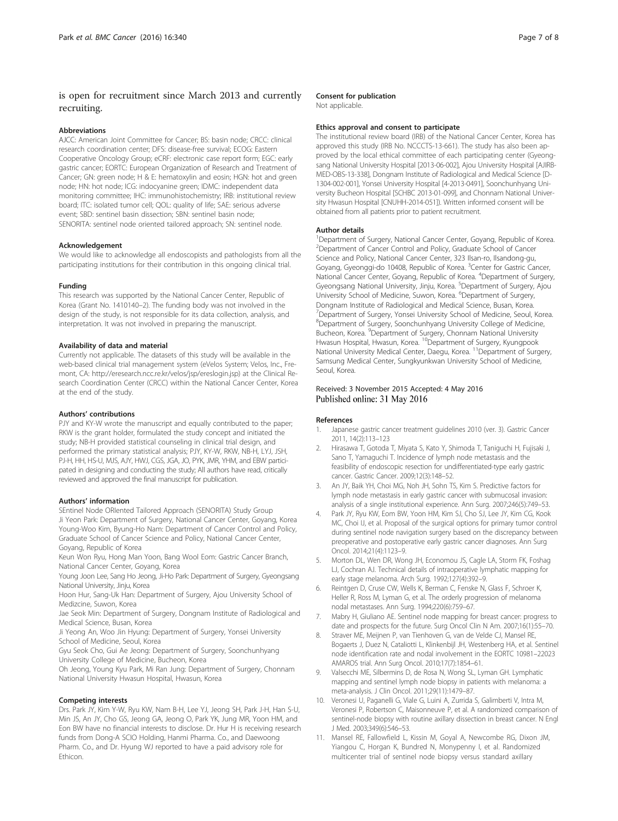## <span id="page-6-0"></span>is open for recruitment since March 2013 and currently recruiting.

#### Abbreviations

AJCC: American Joint Committee for Cancer; BS: basin node; CRCC: clinical research coordination center; DFS: disease-free survival; ECOG: Eastern Cooperative Oncology Group; eCRF: electronic case report form; EGC: early gastric cancer; EORTC: European Organization of Research and Treatment of Cancer; GN: green node; H & E: hematoxylin and eosin; HGN: hot and green node; HN: hot node; ICG: indocyanine green; IDMC: independent data monitoring committee; IHC: immunohistochemistry; IRB: institutional review board; ITC: isolated tumor cell; QOL: quality of life; SAE: serious adverse event; SBD: sentinel basin dissection; SBN: sentinel basin node; SENORITA: sentinel node oriented tailored approach; SN: sentinel node.

#### Acknowledgement

We would like to acknowledge all endoscopists and pathologists from all the participating institutions for their contribution in this ongoing clinical trial.

#### Funding

This research was supported by the National Cancer Center, Republic of Korea (Grant No. 1410140–2). The funding body was not involved in the design of the study, is not responsible for its data collection, analysis, and interpretation. It was not involved in preparing the manuscript.

#### Availability of data and material

Currently not applicable. The datasets of this study will be available in the web-based clinical trial management system (eVelos System; Velos, Inc., Fremont, CA: [http://eresearch.ncc.re.kr/velos/jsp/ereslogin.jsp\)](http://eresearch.ncc.re.kr/velos/jsp/ereslogin.jsp) at the Clinical Research Coordination Center (CRCC) within the National Cancer Center, Korea at the end of the study.

#### Authors' contributions

PJY and KY-W wrote the manuscript and equally contributed to the paper; RKW is the grant holder, formulated the study concept and initiated the study; NB-H provided statistical counseling in clinical trial design, and performed the primary statistical analysis; PJY, KY-W, RKW, NB-H, LYJ, JSH, PJ-H, HH, HS-U, MJS, AJY, HWJ, CGS, JGA, JO, PYK, JMR, YHM, and EBW participated in designing and conducting the study; All authors have read, critically reviewed and approved the final manuscript for publication.

#### Authors' information

SEntinel Node ORIented Tailored Approach (SENORITA) Study Group Ji Yeon Park: Department of Surgery, National Cancer Center, Goyang, Korea Young-Woo Kim, Byung-Ho Nam: Department of Cancer Control and Policy, Graduate School of Cancer Science and Policy, National Cancer Center, Goyang, Republic of Korea

Keun Won Ryu, Hong Man Yoon, Bang Wool Eom: Gastric Cancer Branch, National Cancer Center, Goyang, Korea

Young Joon Lee, Sang Ho Jeong, Ji-Ho Park: Department of Surgery, Gyeongsang National University, Jinju, Korea

Hoon Hur, Sang-Uk Han: Department of Surgery, Ajou University School of Medizcine, Suwon, Korea

Jae Seok Min: Department of Surgery, Dongnam Institute of Radiological and Medical Science, Busan, Korea

Ji Yeong An, Woo Jin Hyung: Department of Surgery, Yonsei University School of Medicine, Seoul, Korea

Gyu Seok Cho, Gui Ae Jeong: Department of Surgery, Soonchunhyang University College of Medicine, Bucheon, Korea

Oh Jeong, Young Kyu Park, Mi Ran Jung: Department of Surgery, Chonnam National University Hwasun Hospital, Hwasun, Korea

#### Competing interests

Drs. Park JY, Kim Y-W, Ryu KW, Nam B-H, Lee YJ, Jeong SH, Park J-H, Han S-U, Min JS, An JY, Cho GS, Jeong GA, Jeong O, Park YK, Jung MR, Yoon HM, and Eon BW have no financial interests to disclose. Dr. Hur H is receiving research funds from Dong-A SCIO Holding, Hanmi Pharma. Co., and Daewoong Pharm. Co., and Dr. Hyung WJ reported to have a paid advisory role for Ethicon.

#### Consent for publication

Not applicable.

#### Ethics approval and consent to participate

The institutional review board (IRB) of the National Cancer Center, Korea has approved this study (IRB No. NCCCTS-13-661). The study has also been approved by the local ethical committee of each participating center (Gyeongsang National University Hospital [2013-06-002], Ajou University Hospital [AJIRB-MED-OBS-13-338], Dongnam Institute of Radiological and Medical Science [D-1304-002-001], Yonsei University Hospital [4-2013-0491], Soonchunhyang University Bucheon Hospital [SCHBC 2013-01-099], and Chonnam National University Hwasun Hospital [CNUHH-2014-051]). Written informed consent will be obtained from all patients prior to patient recruitment.

#### Author details

<sup>1</sup>Department of Surgery, National Cancer Center, Goyang, Republic of Korea <sup>2</sup> Department of Cancer Control and Policy, Graduate School of Cancer Science and Policy, National Cancer Center, 323 Ilsan-ro, Ilsandong-gu, Goyang, Gyeonggi-do 10408, Republic of Korea. <sup>3</sup>Center for Gastric Cancer National Cancer Center, Goyang, Republic of Korea. <sup>4</sup>Department of Surgery Gyeongsang National University, Jinju, Korea. <sup>5</sup>Department of Surgery, Ajou University School of Medicine, Suwon, Korea. <sup>6</sup>Department of Surgery, Dongnam Institute of Radiological and Medical Science, Busan, Korea. 7 Department of Surgery, Yonsei University School of Medicine, Seoul, Korea. 8 Department of Surgery, Soonchunhyang University College of Medicine, Bucheon, Korea. <sup>9</sup>Department of Surgery, Chonnam National University Hwasun Hospital, Hwasun, Korea. 10Department of Surgery, Kyungpook National University Medical Center, Daegu, Korea. <sup>11</sup> Department of Surgery, Samsung Medical Center, Sungkyunkwan University School of Medicine, Seoul, Korea.

#### Received: 3 November 2015 Accepted: 4 May 2016 Published online: 31 May 2016

#### References

- 1. Japanese gastric cancer treatment guidelines 2010 (ver. 3). Gastric Cancer 2011, 14(2):113–123
- 2. Hirasawa T, Gotoda T, Miyata S, Kato Y, Shimoda T, Taniguchi H, Fujisaki J, Sano T, Yamaguchi T. Incidence of lymph node metastasis and the feasibility of endoscopic resection for undifferentiated-type early gastric cancer. Gastric Cancer. 2009;12(3):148–52.
- 3. An JY, Baik YH, Choi MG, Noh JH, Sohn TS, Kim S. Predictive factors for lymph node metastasis in early gastric cancer with submucosal invasion: analysis of a single institutional experience. Ann Surg. 2007;246(5):749–53.
- 4. Park JY, Ryu KW, Eom BW, Yoon HM, Kim SJ, Cho SJ, Lee JY, Kim CG, Kook MC, Choi IJ, et al. Proposal of the surgical options for primary tumor control during sentinel node navigation surgery based on the discrepancy between preoperative and postoperative early gastric cancer diagnoses. Ann Surg Oncol. 2014;21(4):1123–9.
- 5. Morton DL, Wen DR, Wong JH, Economou JS, Cagle LA, Storm FK, Foshag LJ, Cochran AJ. Technical details of intraoperative lymphatic mapping for early stage melanoma. Arch Surg. 1992;127(4):392–9.
- Reintgen D, Cruse CW, Wells K, Berman C, Fenske N, Glass F, Schroer K, Heller R, Ross M, Lyman G, et al. The orderly progression of melanoma nodal metastases. Ann Surg. 1994;220(6):759–67.
- 7. Mabry H, Giuliano AE. Sentinel node mapping for breast cancer: progress to date and prospects for the future. Surg Oncol Clin N Am. 2007;16(1):55–70.
- Straver ME, Meijnen P, van Tienhoven G, van de Velde CJ, Mansel RE, Bogaerts J, Duez N, Cataliotti L, Klinkenbijl JH, Westenberg HA, et al. Sentinel node identification rate and nodal involvement in the EORTC 10981–22023 AMAROS trial. Ann Surg Oncol. 2010;17(7):1854–61.
- 9. Valsecchi ME, Silbermins D, de Rosa N, Wong SL, Lyman GH. Lymphatic mapping and sentinel lymph node biopsy in patients with melanoma: a meta-analysis. J Clin Oncol. 2011;29(11):1479–87.
- 10. Veronesi U, Paganelli G, Viale G, Luini A, Zurrida S, Galimberti V, Intra M, Veronesi P, Robertson C, Maisonneuve P, et al. A randomized comparison of sentinel-node biopsy with routine axillary dissection in breast cancer. N Engl J Med. 2003;349(6):546–53.
- 11. Mansel RE, Fallowfield L, Kissin M, Goyal A, Newcombe RG, Dixon JM, Yiangou C, Horgan K, Bundred N, Monypenny I, et al. Randomized multicenter trial of sentinel node biopsy versus standard axillary